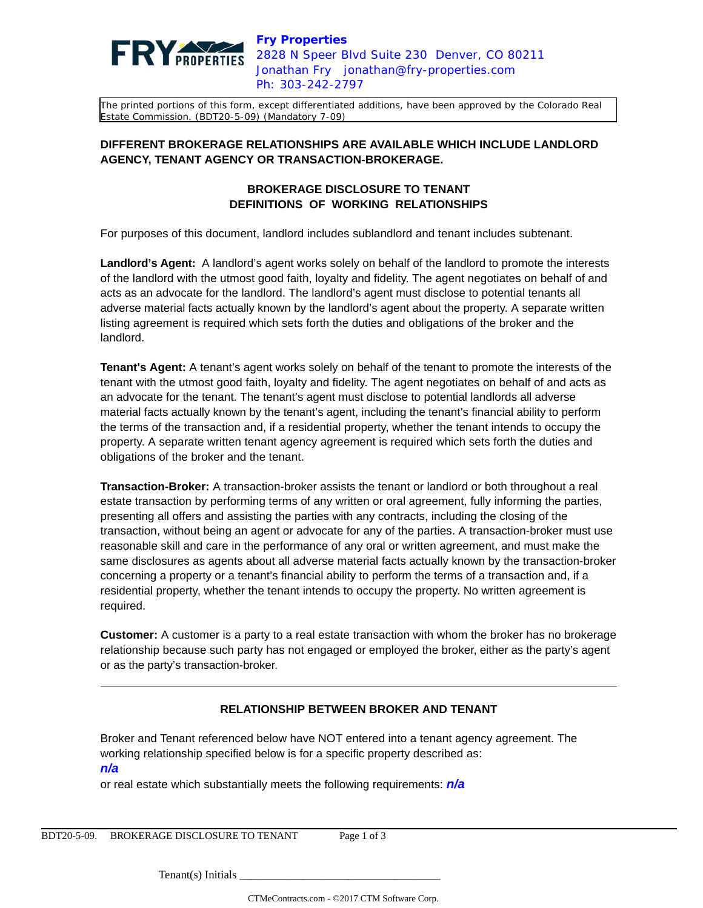

The printed portions of this form, except differentiated additions, have been approved by the Colorado Real Estate Commission. (BDT20-5-09) (Mandatory 7-09)

## **DIFFERENT BROKERAGE RELATIONSHIPS ARE AVAILABLE WHICH INCLUDE LANDLORD AGENCY, TENANT AGENCY OR TRANSACTION-BROKERAGE.**

## **BROKERAGE DISCLOSURE TO TENANT DEFINITIONS OF WORKING RELATIONSHIPS**

For purposes of this document, landlord includes sublandlord and tenant includes subtenant.

**Landlord's Agent:** A landlord's agent works solely on behalf of the landlord to promote the interests of the landlord with the utmost good faith, loyalty and fidelity. The agent negotiates on behalf of and acts as an advocate for the landlord. The landlord's agent must disclose to potential tenants all adverse material facts actually known by the landlord's agent about the property. A separate written listing agreement is required which sets forth the duties and obligations of the broker and the landlord.

**Tenant's Agent:** A tenant's agent works solely on behalf of the tenant to promote the interests of the tenant with the utmost good faith, loyalty and fidelity. The agent negotiates on behalf of and acts as an advocate for the tenant. The tenant's agent must disclose to potential landlords all adverse material facts actually known by the tenant's agent, including the tenant's financial ability to perform the terms of the transaction and, if a residential property, whether the tenant intends to occupy the property. A separate written tenant agency agreement is required which sets forth the duties and obligations of the broker and the tenant.

**Transaction-Broker:** A transaction-broker assists the tenant or landlord or both throughout a real estate transaction by performing terms of any written or oral agreement, fully informing the parties, presenting all offers and assisting the parties with any contracts, including the closing of the transaction, without being an agent or advocate for any of the parties. A transaction-broker must use reasonable skill and care in the performance of any oral or written agreement, and must make the same disclosures as agents about all adverse material facts actually known by the transaction-broker concerning a property or a tenant's financial ability to perform the terms of a transaction and, if a residential property, whether the tenant intends to occupy the property. No written agreement is required.

**Customer:** A customer is a party to a real estate transaction with whom the broker has no brokerage relationship because such party has not engaged or employed the broker, either as the party's agent or as the party's transaction-broker.

## **RELATIONSHIP BETWEEN BROKER AND TENANT**

Broker and Tenant referenced below have NOT entered into a tenant agency agreement. The working relationship specified below is for a specific property described as: **n/a**

or real estate which substantially meets the following requirements: **n/a**

 $Tenant(s)$  Initials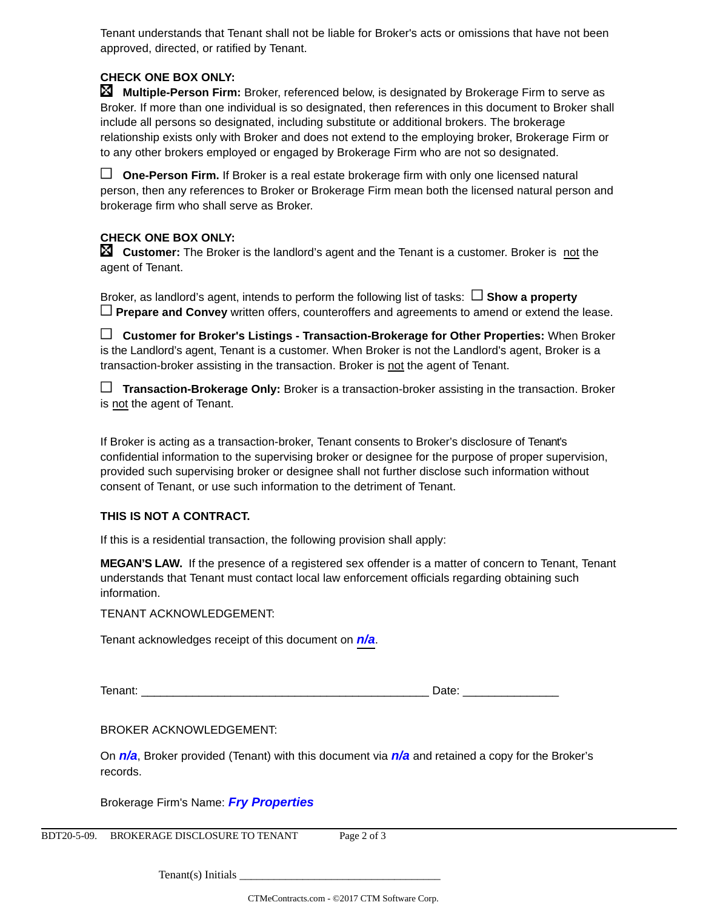Tenant understands that Tenant shall not be liable for Broker's acts or omissions that have not been approved, directed, or ratified by Tenant.

# **CHECK ONE BOX ONLY:**

 **Multiple-Person Firm:** Broker, referenced below, is designated by Brokerage Firm to serve as Broker. If more than one individual is so designated, then references in this document to Broker shall include all persons so designated, including substitute or additional brokers. The brokerage relationship exists only with Broker and does not extend to the employing broker, Brokerage Firm or to any other brokers employed or engaged by Brokerage Firm who are not so designated.

 **One-Person Firm.** If Broker is a real estate brokerage firm with only one licensed natural person, then any references to Broker or Brokerage Firm mean both the licensed natural person and brokerage firm who shall serve as Broker.

## **CHECK ONE BOX ONLY:**

**Customer:** The Broker is the landlord's agent and the Tenant is a customer. Broker is not the agent of Tenant.

Broker, as landlord's agent, intends to perform the following list of tasks:  $\Box$  **Show a property Prepare and Convey** written offers, counteroffers and agreements to amend or extend the lease.

 **Customer for Broker's Listings - Transaction-Brokerage for Other Properties:** When Broker is the Landlord's agent, Tenant is a customer. When Broker is not the Landlord's agent, Broker is a transaction-broker assisting in the transaction. Broker is not the agent of Tenant.

 **Transaction-Brokerage Only:** Broker is a transaction-broker assisting in the transaction. Broker is not the agent of Tenant.

If Broker is acting as a transaction-broker, Tenant consents to Broker's disclosure of Tenant's confidential information to the supervising broker or designee for the purpose of proper supervision, provided such supervising broker or designee shall not further disclose such information without consent of Tenant, or use such information to the detriment of Tenant.

## **THIS IS NOT A CONTRACT.**

If this is a residential transaction, the following provision shall apply:

**MEGAN'S LAW.** If the presence of a registered sex offender is a matter of concern to Tenant, Tenant understands that Tenant must contact local law enforcement officials regarding obtaining such information.

TENANT ACKNOWLEDGEMENT:

Tenant acknowledges receipt of this document on **n/a**.

Tenant: \_\_\_\_\_\_\_\_\_\_\_\_\_\_\_\_\_\_\_\_\_\_\_\_\_\_\_\_\_\_\_\_\_\_\_\_\_\_\_\_\_\_\_\_\_ Date: \_\_\_\_\_\_\_\_\_\_\_\_\_\_\_

BROKER ACKNOWLEDGEMENT:

On **n/a**, Broker provided (Tenant) with this document via **n/a** and retained a copy for the Broker's records.

Brokerage Firm's Name: **Fry Properties**

BDT20-5-09. BROKERAGE DISCLOSURE TO TENANT Page 2 of 3

Tenant(s) Initials \_\_\_\_\_\_\_\_\_\_\_\_\_\_\_\_\_\_\_\_\_\_\_\_\_\_\_\_\_\_\_\_\_\_\_